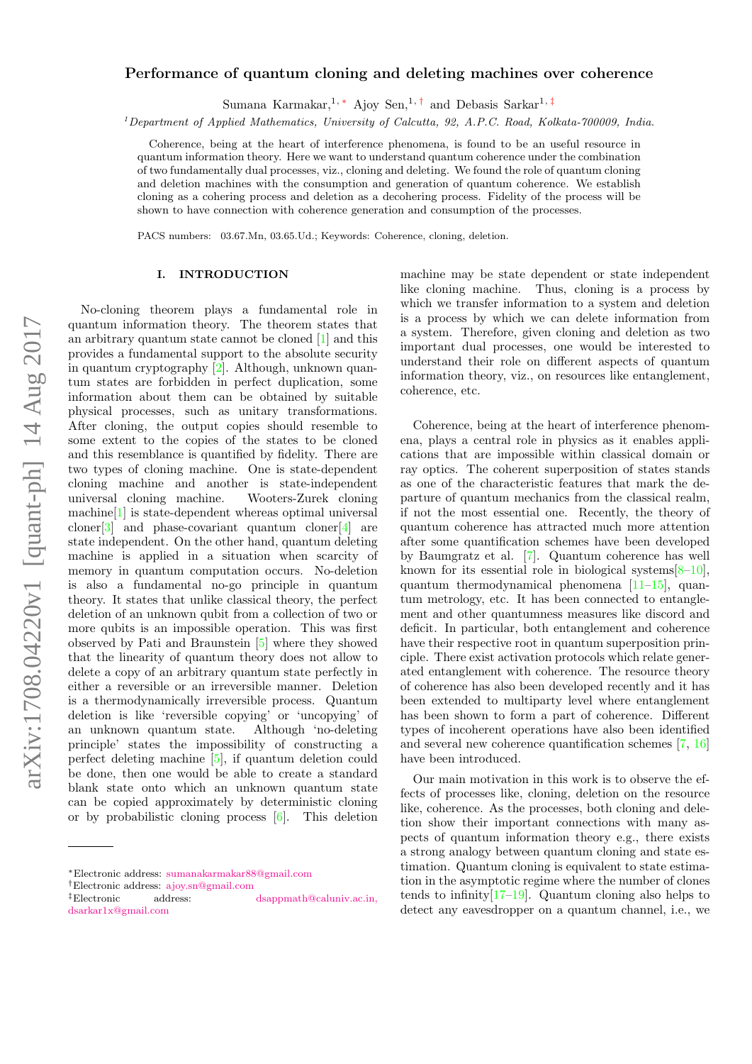# $arXiv:1708.04220v1$  [quant-ph] 14 Aug 2017 arXiv:1708.04220v1 [quant-ph] 14 Aug 2017

# Performance of quantum cloning and deleting machines over coherence

Sumana Karmakar,<sup>1, \*</sup> Ajoy Sen,<sup>1,[†](#page-0-1)</sup> and Debasis Sarkar<sup>1,[‡](#page-0-2)</sup>

 $1$ Department of Applied Mathematics, University of Calcutta, 92, A.P.C. Road, Kolkata-700009, India.

Coherence, being at the heart of interference phenomena, is found to be an useful resource in quantum information theory. Here we want to understand quantum coherence under the combination of two fundamentally dual processes, viz., cloning and deleting. We found the role of quantum cloning and deletion machines with the consumption and generation of quantum coherence. We establish cloning as a cohering process and deletion as a decohering process. Fidelity of the process will be shown to have connection with coherence generation and consumption of the processes.

PACS numbers: 03.67.Mn, 03.65.Ud.; Keywords: Coherence, cloning, deletion.

# I. INTRODUCTION

No-cloning theorem plays a fundamental role in quantum information theory. The theorem states that an arbitrary quantum state cannot be cloned [\[1\]](#page-6-0) and this provides a fundamental support to the absolute security in quantum cryptography [\[2\]](#page-6-1). Although, unknown quantum states are forbidden in perfect duplication, some information about them can be obtained by suitable physical processes, such as unitary transformations. After cloning, the output copies should resemble to some extent to the copies of the states to be cloned and this resemblance is quantified by fidelity. There are two types of cloning machine. One is state-dependent cloning machine and another is state-independent universal cloning machine. Wooters-Zurek cloning machine[\[1\]](#page-6-0) is state-dependent whereas optimal universal cloner<sup>[\[3\]](#page-6-2)</sup> and phase-covariant quantum cloner<sup>[\[4\]](#page-6-3)</sup> are state independent. On the other hand, quantum deleting machine is applied in a situation when scarcity of memory in quantum computation occurs. No-deletion is also a fundamental no-go principle in quantum theory. It states that unlike classical theory, the perfect deletion of an unknown qubit from a collection of two or more qubits is an impossible operation. This was first observed by Pati and Braunstein [\[5\]](#page-6-4) where they showed that the linearity of quantum theory does not allow to delete a copy of an arbitrary quantum state perfectly in either a reversible or an irreversible manner. Deletion is a thermodynamically irreversible process. Quantum deletion is like 'reversible copying' or 'uncopying' of an unknown quantum state. Although 'no-deleting principle' states the impossibility of constructing a perfect deleting machine [\[5\]](#page-6-4), if quantum deletion could be done, then one would be able to create a standard blank state onto which an unknown quantum state can be copied approximately by deterministic cloning or by probabilistic cloning process [\[6\]](#page-6-5). This deletion

machine may be state dependent or state independent like cloning machine. Thus, cloning is a process by which we transfer information to a system and deletion is a process by which we can delete information from a system. Therefore, given cloning and deletion as two important dual processes, one would be interested to understand their role on different aspects of quantum information theory, viz., on resources like entanglement, coherence, etc.

Coherence, being at the heart of interference phenomena, plays a central role in physics as it enables applications that are impossible within classical domain or ray optics. The coherent superposition of states stands as one of the characteristic features that mark the departure of quantum mechanics from the classical realm, if not the most essential one. Recently, the theory of quantum coherence has attracted much more attention after some quantification schemes have been developed by Baumgratz et al. [\[7\]](#page-6-6). Quantum coherence has well known for its essential role in biological systems  $[8-10]$  $[8-10]$ , quantum thermodynamical phenomena [\[11–](#page-6-9)[15\]](#page-6-10), quantum metrology, etc. It has been connected to entanglement and other quantumness measures like discord and deficit. In particular, both entanglement and coherence have their respective root in quantum superposition principle. There exist activation protocols which relate generated entanglement with coherence. The resource theory of coherence has also been developed recently and it has been extended to multiparty level where entanglement has been shown to form a part of coherence. Different types of incoherent operations have also been identified and several new coherence quantification schemes [\[7,](#page-6-6) [16\]](#page-6-11) have been introduced.

Our main motivation in this work is to observe the effects of processes like, cloning, deletion on the resource like, coherence. As the processes, both cloning and deletion show their important connections with many aspects of quantum information theory e.g., there exists a strong analogy between quantum cloning and state estimation. Quantum cloning is equivalent to state estimation in the asymptotic regime where the number of clones tends to infinity  $[17-19]$  $[17-19]$ . Quantum cloning also helps to detect any eavesdropper on a quantum channel, i.e., we

<span id="page-0-0"></span><sup>∗</sup>Electronic address: [sumanakarmakar88@gmail.com](mailto:sumanakarmakar88@gmail.com)

<span id="page-0-2"></span>

<span id="page-0-1"></span><sup>†</sup>Electronic address: [ajoy.sn@gmail.com](mailto:ajoy.sn@gmail.com)<br>  $^\ddagger$ Electronic address: address: [dsappmath@caluniv.ac.in,](mailto:dsappmath@caluniv.ac.in, dsarkar1x@gmail.com) [dsarkar1x@gmail.com](mailto:dsappmath@caluniv.ac.in, dsarkar1x@gmail.com)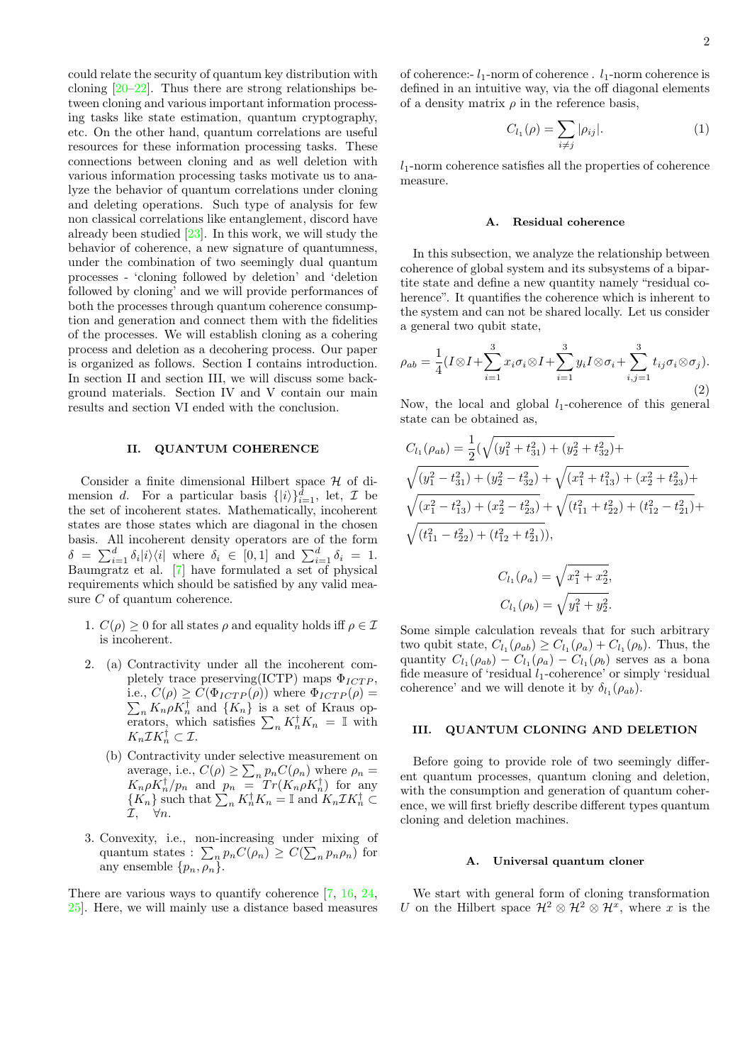could relate the security of quantum key distribution with cloning  $[20-22]$  $[20-22]$ . Thus there are strong relationships between cloning and various important information processing tasks like state estimation, quantum cryptography, etc. On the other hand, quantum correlations are useful resources for these information processing tasks. These connections between cloning and as well deletion with various information processing tasks motivate us to analyze the behavior of quantum correlations under cloning and deleting operations. Such type of analysis for few non classical correlations like entanglement, discord have already been studied [\[23\]](#page-6-16). In this work, we will study the behavior of coherence, a new signature of quantumness, under the combination of two seemingly dual quantum processes - 'cloning followed by deletion' and 'deletion followed by cloning' and we will provide performances of both the processes through quantum coherence consumption and generation and connect them with the fidelities of the processes. We will establish cloning as a cohering process and deletion as a decohering process. Our paper is organized as follows. Section I contains introduction. In section II and section III, we will discuss some background materials. Section IV and V contain our main results and section VI ended with the conclusion.

# II. QUANTUM COHERENCE

Consider a finite dimensional Hilbert space  $H$  of dimension d. For a particular basis  $\{|i\rangle\}_{i=1}^d$ , let,  $\mathcal I$  be the set of incoherent states. Mathematically, incoherent states are those states which are diagonal in the chosen basis. All incoherent density operators are of the form  $\delta = \sum_{i=1}^d \delta_i |i\rangle\langle i|$  where  $\delta_i \in [0,1]$  and  $\sum_{i=1}^d \delta_i = 1$ . Baumgratz et al. [\[7\]](#page-6-6) have formulated a set of physical requirements which should be satisfied by any valid measure  $C$  of quantum coherence.

- 1.  $C(\rho) \geq 0$  for all states  $\rho$  and equality holds iff  $\rho \in \mathcal{I}$ is incoherent.
- 2. (a) Contractivity under all the incoherent completely trace preserving(ICTP) maps  $\Phi_{ICTP}$ , i.e.,  $C(\rho) \geq C(\Phi_{ICTP}(\rho))$  where  $\Phi_{ICTP}(\rho)$  =  $\sum_{n} K_n \rho K_n^{\dagger}$  and  $\{K_n\}$  is a set of Kraus operators, which satisfies  $\sum_n K_n^{\dagger} K_n = \mathbb{I}$  with  $K_n \mathcal{I} K_n^{\dagger} \subset \mathcal{I}.$ 
	- (b) Contractivity under selective measurement on average, i.e.,  $C(\rho) \geq \sum$  $_n p_n C(\rho_n)$  where  $\rho_n =$  $K_n \rho \overline{K_n^{\dagger}}/p_n$  and  $p_n = T r(K_n \rho K_n^{\dagger})$  for any  $\{K_n\}$  such that  $\sum_n K_n^{\dagger} K_n = \mathbb{I}$  and  $K_n \mathcal{I} K_n^{\dagger} \subset$  $\mathcal{I}, \quad \forall n.$
- 3. Convexity, i.e., non-increasing under mixing of quantum states :  $\sum_{n} p_n C(\rho_n) \geq C(\sum_{n} p_n \rho_n)$  for any ensemble  $\{p_n, \rho_n\}.$

There are various ways to quantify coherence [\[7,](#page-6-6) [16,](#page-6-11) [24,](#page-6-17) [25\]](#page-6-18). Here, we will mainly use a distance based measures of coherence:-  $l_1$ -norm of coherence .  $l_1$ -norm coherence is defined in an intuitive way, via the off diagonal elements of a density matrix  $\rho$  in the reference basis,

$$
C_{l_1}(\rho) = \sum_{i \neq j} |\rho_{ij}|.
$$
 (1)

 $l_1$ -norm coherence satisfies all the properties of coherence measure.

### A. Residual coherence

In this subsection, we analyze the relationship between coherence of global system and its subsystems of a bipartite state and define a new quantity namely "residual coherence". It quantifies the coherence which is inherent to the system and can not be shared locally. Let us consider a general two qubit state,

$$
\rho_{ab} = \frac{1}{4} (I \otimes I + \sum_{i=1}^{3} x_i \sigma_i \otimes I + \sum_{i=1}^{3} y_i I \otimes \sigma_i + \sum_{i,j=1}^{3} t_{ij} \sigma_i \otimes \sigma_j).
$$
\n(2)

Now, the local and global  $l_1$ -coherence of this general state can be obtained as,

$$
C_{l_1}(\rho_{ab}) = \frac{1}{2}(\sqrt{(y_1^2 + t_{31}^2) + (y_2^2 + t_{32}^2)} +
$$
  

$$
\sqrt{(y_1^2 - t_{31}^2) + (y_2^2 - t_{32}^2)} + \sqrt{(x_1^2 + t_{13}^2) + (x_2^2 + t_{23}^2)} +
$$
  

$$
\sqrt{(x_1^2 - t_{13}^2) + (x_2^2 - t_{23}^2)} + \sqrt{(t_{11}^2 + t_{22}^2) + (t_{12}^2 - t_{21}^2)} +
$$
  

$$
\sqrt{(t_{11}^2 - t_{22}^2) + (t_{12}^2 + t_{21}^2))},
$$
  

$$
C_{l_1}(\rho_a) = \sqrt{x_1^2 + x_2^2},
$$
  

$$
C_{l_1}(\rho_b) = \sqrt{y_1^2 + y_2^2}.
$$

Some simple calculation reveals that for such arbitrary two qubit state,  $C_{l_1}(\rho_{ab}) \geq C_{l_1}(\rho_a) + C_{l_1}(\rho_b)$ . Thus, the quantity  $C_{l_1}(\rho_{ab}) - C_{l_1}(\rho_a) - C_{l_1}(\rho_b)$  serves as a bona fide measure of 'residual  $l_1$ -coherence' or simply 'residual coherence' and we will denote it by  $\delta_{l_1}(\rho_{ab})$ .

# <span id="page-1-0"></span>III. QUANTUM CLONING AND DELETION

Before going to provide role of two seemingly different quantum processes, quantum cloning and deletion, with the consumption and generation of quantum coherence, we will first briefly describe different types quantum cloning and deletion machines.

## A. Universal quantum cloner

We start with general form of cloning transformation U on the Hilbert space  $\mathcal{H}^2 \otimes \mathcal{H}^2 \otimes \mathcal{H}^x$ , where x is the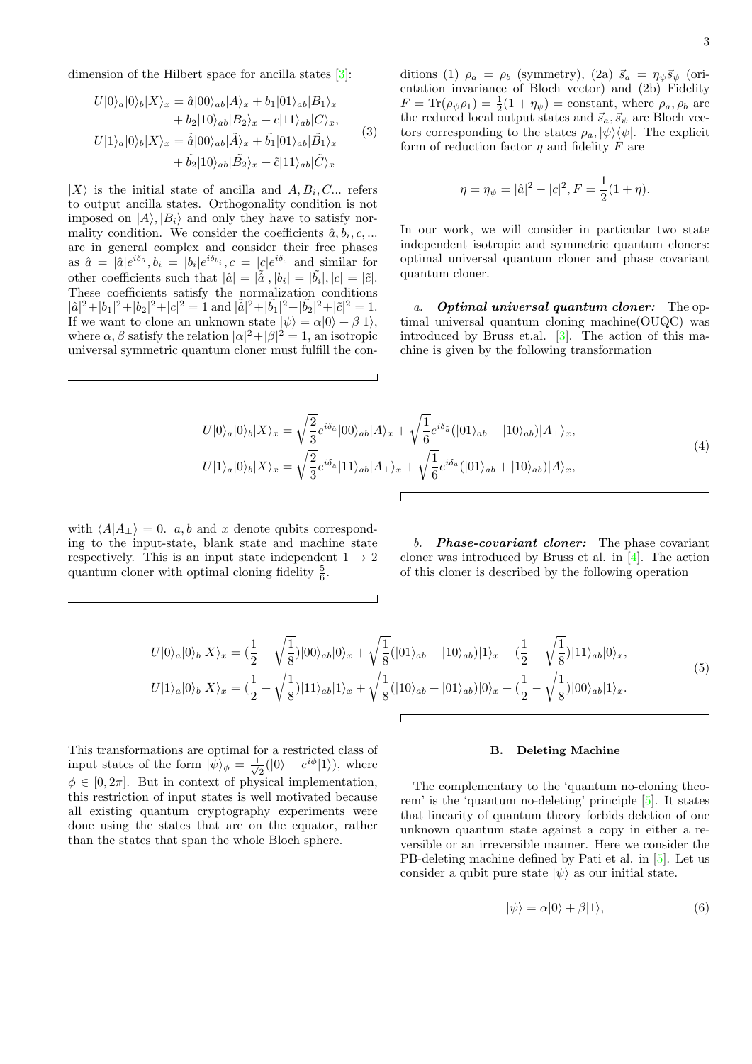<span id="page-2-1"></span>
$$
U|0\rangle_a|0\rangle_b|X\rangle_x = \hat{a}|00\rangle_{ab}|A\rangle_x + b_1|01\rangle_{ab}|B_1\rangle_x + b_2|10\rangle_{ab}|B_2\rangle_x + c|11\rangle_{ab}|C\rangle_x,
$$
  

$$
U|1\rangle_a|0\rangle_b|X\rangle_x = \tilde{a}|00\rangle_{ab}|\tilde{A}\rangle_x + \tilde{b_1}|01\rangle_{ab}|\tilde{B_1}\rangle_x + \tilde{b_2}|10\rangle_{ab}|\tilde{B_2}\rangle_x + \tilde{c}|11\rangle_{ab}|\tilde{C}\rangle_x
$$
 (3)

 $|X\rangle$  is the initial state of ancilla and  $A, B_i, C...$  refers to output ancilla states. Orthogonality condition is not imposed on  $|A\rangle, |B_i\rangle$  and only they have to satisfy normality condition. We consider the coefficients  $\hat{a}, b_i, c, ...$ are in general complex and consider their free phases as  $\hat{a} = |\hat{a}|e^{i\delta_{\hat{a}}}, b_i = |b_i|e^{i\delta_{b_i}}, c = |c|e^{i\delta_{c}}$  and similar for other coefficients such that  $|\hat{a}| = |\tilde{\hat{a}}|, |b_i| = |\tilde{b}_i|, |c| = |\tilde{c}|.$ These coefficients satisfy the normalization conditions  $|\hat{a}|^2 + |b_1|^2 + |b_2|^2 + |c|^2 = 1$  and  $|\tilde{\hat{a}}|^2 + |\tilde{b_1}|^2 + |\tilde{b_2}|^2 + |\tilde{c}|^2 = 1$ . If we want to clone an unknown state  $|\psi\rangle = \alpha|0\rangle + \beta|1\rangle$ , where  $\alpha, \beta$  satisfy the relation  $|\alpha|^2 + |\beta|^2 = 1$ , an isotropic universal symmetric quantum cloner must fulfill the conditions (1)  $\rho_a = \rho_b$  (symmetry), (2a)  $\vec{s}_a = \eta_{\psi} \vec{s}_{\psi}$  (orientation invariance of Bloch vector) and (2b) Fidelity  $F = \text{Tr}(\rho_{\psi}\rho_1) = \frac{1}{2}(1 + \eta_{\psi}) = \text{constant}$ , where  $\rho_a, \rho_b$  are the reduced local output states and  $\vec{s}_a, \vec{s}_\psi$  are Bloch vectors corresponding to the states  $\rho_a, |\psi\rangle\langle\psi|$ . The explicit form of reduction factor  $\eta$  and fidelity  $F$  are

$$
\eta = \eta_{\psi} = |\hat{a}|^2 - |c|^2, F = \frac{1}{2}(1 + \eta).
$$

In our work, we will consider in particular two state independent isotropic and symmetric quantum cloners: optimal universal quantum cloner and phase covariant quantum cloner.

a. Optimal universal quantum cloner: The optimal universal quantum cloning machine(OUQC) was introduced by Bruss et.al. [\[3\]](#page-6-2). The action of this machine is given by the following transformation

$$
U|0\rangle_a|0\rangle_b|X\rangle_x = \sqrt{\frac{2}{3}}e^{i\delta_{\hat{a}}}|00\rangle_{ab}|A\rangle_x + \sqrt{\frac{1}{6}}e^{i\delta_{\hat{a}}}|01\rangle_{ab} + |10\rangle_{ab})|A_{\perp}\rangle_x,
$$
  
\n
$$
U|1\rangle_a|0\rangle_b|X\rangle_x = \sqrt{\frac{2}{3}}e^{i\delta_{\hat{a}}}|11\rangle_{ab}|A_{\perp}\rangle_x + \sqrt{\frac{1}{6}}e^{i\delta_{\hat{a}}}|01\rangle_{ab} + |10\rangle_{ab})|A\rangle_x,
$$
\n(4)

with  $\langle A|A_{\perp}\rangle = 0$ . a, b and x denote qubits corresponding to the input-state, blank state and machine state respectively. This is an input state independent  $1 \rightarrow 2$ quantum cloner with optimal cloning fidelity  $\frac{5}{6}$ .

b. **Phase-covariant cloner:** The phase covariant cloner was introduced by Bruss et al. in [\[4\]](#page-6-3). The action of this cloner is described by the following operation

$$
U|0\rangle_{a}|0\rangle_{b}|X\rangle_{x} = \left(\frac{1}{2} + \sqrt{\frac{1}{8}}\right)|00\rangle_{ab}|0\rangle_{x} + \sqrt{\frac{1}{8}}(|01\rangle_{ab} + |10\rangle_{ab})|1\rangle_{x} + \left(\frac{1}{2} - \sqrt{\frac{1}{8}}\right)|11\rangle_{ab}|0\rangle_{x},
$$
  
\n
$$
U|1\rangle_{a}|0\rangle_{b}|X\rangle_{x} = \left(\frac{1}{2} + \sqrt{\frac{1}{8}}\right)|11\rangle_{ab}|1\rangle_{x} + \sqrt{\frac{1}{8}}(|10\rangle_{ab} + |01\rangle_{ab})|0\rangle_{x} + \left(\frac{1}{2} - \sqrt{\frac{1}{8}}\right)|00\rangle_{ab}|1\rangle_{x}.
$$
\n
$$
(5)
$$

This transformations are optimal for a restricted class of input states of the form  $|\psi\rangle_{\phi} = \frac{1}{\sqrt{2}}$  $\frac{1}{2}(|0\rangle + e^{i\phi}|1\rangle)$ , where  $\phi \in [0, 2\pi]$ . But in context of physical implementation, this restriction of input states is well motivated because all existing quantum cryptography experiments were done using the states that are on the equator, rather than the states that span the whole Bloch sphere.

### B. Deleting Machine

The complementary to the 'quantum no-cloning theorem' is the 'quantum no-deleting' principle [\[5\]](#page-6-4). It states that linearity of quantum theory forbids deletion of one unknown quantum state against a copy in either a reversible or an irreversible manner. Here we consider the PB-deleting machine defined by Pati et al. in [\[5\]](#page-6-4). Let us consider a qubit pure state  $|\psi\rangle$  as our initial state.

<span id="page-2-0"></span>
$$
|\psi\rangle = \alpha|0\rangle + \beta|1\rangle, \tag{6}
$$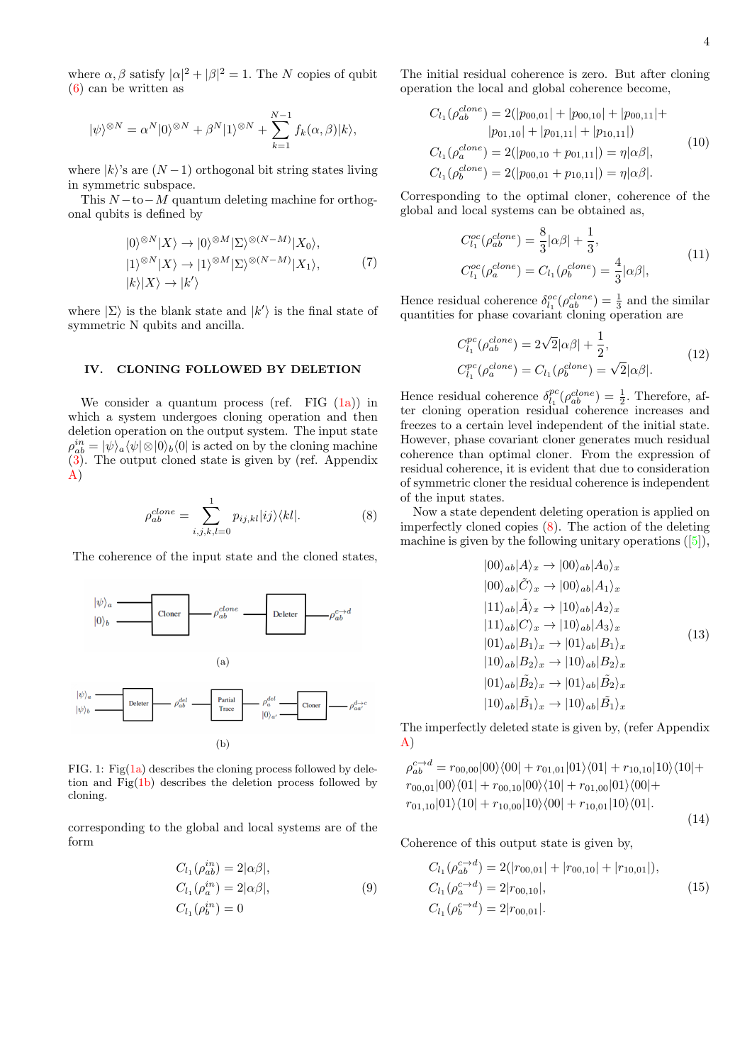where  $\alpha, \beta$  satisfy  $|\alpha|^2 + |\beta|^2 = 1$ . The N copies of qubit [\(6\)](#page-2-0) can be written as

$$
|\psi\rangle^{\otimes N} = \alpha^N |0\rangle^{\otimes N} + \beta^N |1\rangle^{\otimes N} + \sum_{k=1}^{N-1} f_k(\alpha, \beta)|k\rangle,
$$

where  $|k\rangle$ 's are  $(N-1)$  orthogonal bit string states living in symmetric subspace.

This  $N-to-M$  quantum deleting machine for orthogonal qubits is defined by

$$
|0\rangle^{\otimes N}|X\rangle \to |0\rangle^{\otimes M}|\Sigma\rangle^{\otimes (N-M)}|X_0\rangle, |1\rangle^{\otimes N}|X\rangle \to |1\rangle^{\otimes M}|\Sigma\rangle^{\otimes (N-M)}|X_1\rangle, \tag{7}
$$
  

$$
|k\rangle|X\rangle \to |k'\rangle
$$

where  $|\Sigma\rangle$  is the blank state and  $|k'\rangle$  is the final state of symmetric N qubits and ancilla.

# IV. CLONING FOLLOWED BY DELETION

We consider a quantum process (ref. FIG  $(1a)$ ) in which a system undergoes cloning operation and then deletion operation on the output system. The input state  $\rho_{ab}^{in}=|\psi\rangle_a\langle\psi|\otimes|0\rangle_b\langle0|$  is acted on by the cloning machine [\(3\)](#page-2-1). The output cloned state is given by (ref. Appendix [A\)](#page-7-0)

<span id="page-3-2"></span>
$$
\rho_{ab}^{clone} = \sum_{i,j,k,l=0}^{1} p_{ij,kl} |ij\rangle\langle kl|.
$$
 (8)

The coherence of the input state and the cloned states,

<span id="page-3-1"></span><span id="page-3-0"></span>

FIG. 1: Fig( $1a$ ) describes the cloning process followed by deletion and  $\text{Fig}(1b)$  $\text{Fig}(1b)$  describes the deletion process followed by cloning.

corresponding to the global and local systems are of the form

$$
C_{l_1}(\rho_{ab}^{in}) = 2|\alpha\beta|,
$$
  
\n
$$
C_{l_1}(\rho_a^{in}) = 2|\alpha\beta|,
$$
  
\n
$$
C_{l_1}(\rho_b^{in}) = 0
$$
\n(9)

The initial residual coherence is zero. But after cloning operation the local and global coherence become,

$$
C_{l_1}(\rho_{ab}^{clone}) = 2(|p_{00,01}| + |p_{00,10}| + |p_{00,11}| + |p_{01,11}| + |p_{01,10}| + |p_{01,11}|)
$$
  
\n
$$
C_{l_1}(\rho_a^{clone}) = 2(|p_{00,10} + p_{01,11}|) = \eta |\alpha \beta|,
$$
  
\n
$$
C_{l_1}(\rho_b^{clone}) = 2(|p_{00,01} + p_{10,11}|) = \eta |\alpha \beta|.
$$
\n(10)

Corresponding to the optimal cloner, coherence of the global and local systems can be obtained as,

$$
C_{l_1}^{oc}(\rho_{ab}^{clone}) = \frac{8}{3} |\alpha \beta| + \frac{1}{3},
$$
  
\n
$$
C_{l_1}^{oc}(\rho_a^{clone}) = C_{l_1}(\rho_b^{clone}) = \frac{4}{3} |\alpha \beta|,
$$
\n(11)

Hence residual coherence  $\delta_{l_1}^{oc}(\rho_{ab}^{clone}) = \frac{1}{3}$  and the similar quantities for phase covariant cloning operation are

$$
C_{l_1}^{pc}(\rho_{ab}^{clone}) = 2\sqrt{2}|\alpha\beta| + \frac{1}{2},
$$
  
\n
$$
C_{l_1}^{pc}(\rho_a^{clone}) = C_{l_1}(\rho_b^{clone}) = \sqrt{2}|\alpha\beta|.
$$
\n(12)

Hence residual coherence  $\delta_{l_1}^{pc}(\rho_{ab}^{clone}) = \frac{1}{2}$ . Therefore, after cloning operation residual coherence increases and freezes to a certain level independent of the initial state. However, phase covariant cloner generates much residual coherence than optimal cloner. From the expression of residual coherence, it is evident that due to consideration of symmetric cloner the residual coherence is independent of the input states.

Now a state dependent deleting operation is applied on imperfectly cloned copies  $(8)$ . The action of the deleting machine is given by the following unitary operations  $([5]),$  $([5]),$  $([5]),$ 

$$
|00\rangle_{ab}|A\rangle_{x} \rightarrow |00\rangle_{ab}|A_{0}\rangle_{x}
$$
  
\n
$$
|00\rangle_{ab}|\tilde{C}\rangle_{x} \rightarrow |00\rangle_{ab}|A_{1}\rangle_{x}
$$
  
\n
$$
|11\rangle_{ab}|\tilde{A}\rangle_{x} \rightarrow |10\rangle_{ab}|A_{2}\rangle_{x}
$$
  
\n
$$
|11\rangle_{ab}|C\rangle_{x} \rightarrow |10\rangle_{ab}|A_{3}\rangle_{x}
$$
  
\n
$$
|01\rangle_{ab}|B_{1}\rangle_{x} \rightarrow |01\rangle_{ab}|B_{1}\rangle_{x}
$$
  
\n
$$
|10\rangle_{ab}|B_{2}\rangle_{x} \rightarrow |10\rangle_{ab}|B_{2}\rangle_{x}
$$
  
\n
$$
|01\rangle_{ab}|\tilde{B}_{2}\rangle_{x} \rightarrow |01\rangle_{ab}|\tilde{B}_{2}\rangle_{x}
$$
  
\n
$$
|10\rangle_{ab}|\tilde{B}_{1}\rangle_{x} \rightarrow |10\rangle_{ab}|\tilde{B}_{1}\rangle_{x}
$$

The imperfectly deleted state is given by, (refer Appendix [A\)](#page-7-0)

<span id="page-3-3"></span>
$$
\rho_{ab}^{c \to d} = r_{00,00}|00\rangle\langle00| + r_{01,01}|01\rangle\langle01| + r_{10,10}|10\rangle\langle10| + r_{00,01}|00\rangle\langle01| + r_{00,10}|00\rangle\langle10| + r_{01,00}|01\rangle\langle00| + r_{01,10}|01\rangle\langle10| + r_{10,00}|10\rangle\langle00| + r_{10,01}|10\rangle\langle01|.
$$

(14)

Coherence of this output state is given by,

$$
C_{l_1}(\rho_{ab}^{c \to d}) = 2(|r_{00,01}| + |r_{00,10}| + |r_{10,01}|),
$$
  
\n
$$
C_{l_1}(\rho_a^{c \to d}) = 2|r_{00,10}|,
$$
  
\n
$$
C_{l_1}(\rho_b^{c \to d}) = 2|r_{00,01}|.
$$
\n(15)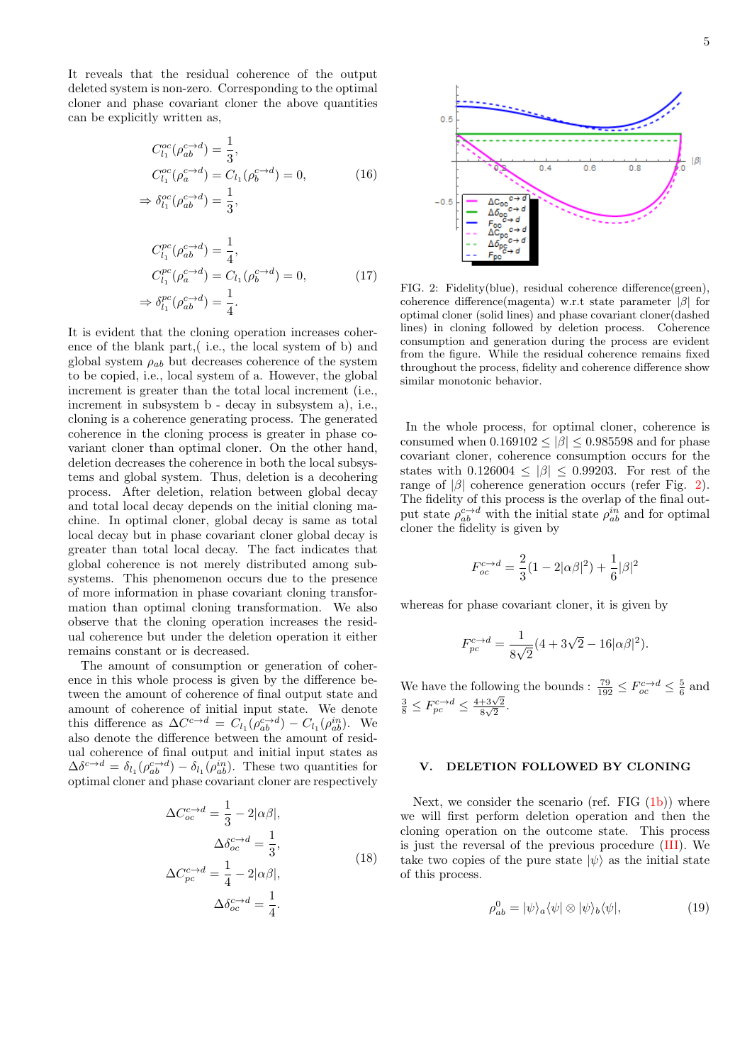It reveals that the residual coherence of the output deleted system is non-zero. Corresponding to the optimal cloner and phase covariant cloner the above quantities can be explicitly written as,

$$
C_{l_1}^{oc}(\rho_{ab}^{c\to d}) = \frac{1}{3},
$$
  
\n
$$
C_{l_1}^{oc}(\rho_a^{c\to d}) = C_{l_1}(\rho_b^{c\to d}) = 0,
$$
  
\n
$$
\Rightarrow \delta_{l_1}^{oc}(\rho_{ab}^{c\to d}) = \frac{1}{3},
$$
\n(16)

$$
C_{l_1}^{pc}(\rho_{ab}^{c\to d}) = \frac{1}{4},
$$
  
\n
$$
C_{l_1}^{pc}(\rho_a^{c\to d}) = C_{l_1}(\rho_b^{c\to d}) = 0,
$$
  
\n
$$
\Rightarrow \delta_{l_1}^{pc}(\rho_{ab}^{c\to d}) = \frac{1}{4}.
$$
\n(17)

It is evident that the cloning operation increases coherence of the blank part,( i.e., the local system of b) and global system  $\rho_{ab}$  but decreases coherence of the system to be copied, i.e., local system of a. However, the global increment is greater than the total local increment (i.e., increment in subsystem b - decay in subsystem a), i.e., cloning is a coherence generating process. The generated coherence in the cloning process is greater in phase covariant cloner than optimal cloner. On the other hand, deletion decreases the coherence in both the local subsystems and global system. Thus, deletion is a decohering process. After deletion, relation between global decay and total local decay depends on the initial cloning machine. In optimal cloner, global decay is same as total local decay but in phase covariant cloner global decay is greater than total local decay. The fact indicates that global coherence is not merely distributed among subsystems. This phenomenon occurs due to the presence of more information in phase covariant cloning transformation than optimal cloning transformation. We also observe that the cloning operation increases the residual coherence but under the deletion operation it either remains constant or is decreased.

The amount of consumption or generation of coherence in this whole process is given by the difference between the amount of coherence of final output state and amount of coherence of initial input state. We denote this difference as  $\Delta C^{c \to d} = C_{l_1}(\rho_{ab}^{c \to d}) - C_{l_1}(\rho_{ab}^{in})$ . We also denote the difference between the amount of residual coherence of final output and initial input states as  $\Delta \delta^{c \to d} = \delta_{l_1} (\rho_{ab}^{c \to d}) - \delta_{l_1} (\rho_{ab}^{in})$ . These two quantities for optimal cloner and phase covariant cloner are respectively

$$
\Delta C_{oc}^{c \to d} = \frac{1}{3} - 2|\alpha \beta|,
$$
  
\n
$$
\Delta \delta_{oc}^{c \to d} = \frac{1}{3},
$$
  
\n
$$
\Delta C_{pc}^{c \to d} = \frac{1}{4} - 2|\alpha \beta|,
$$
  
\n
$$
\Delta \delta_{oc}^{c \to d} = \frac{1}{4}.
$$
\n(18)



<span id="page-4-0"></span>FIG. 2: Fidelity(blue), residual coherence difference(green), coherence difference(magenta) w.r.t state parameter |β| for optimal cloner (solid lines) and phase covariant cloner(dashed lines) in cloning followed by deletion process. Coherence consumption and generation during the process are evident from the figure. While the residual coherence remains fixed throughout the process, fidelity and coherence difference show similar monotonic behavior.

In the whole process, for optimal cloner, coherence is consumed when  $0.169102 < |\beta| < 0.985598$  and for phase covariant cloner, coherence consumption occurs for the states with  $0.126004 \leq |\beta| \leq 0.99203$ . For rest of the range of  $|\beta|$  coherence generation occurs (refer Fig. [2\)](#page-4-0). The fidelity of this process is the overlap of the final output state  $\rho_{ab}^{c \to d}$  with the initial state  $\rho_{ab}^{in}$  and for optimal cloner the fidelity is given by

$$
F_{oc}^{c\to d}=\frac{2}{3}(1-2|\alpha\beta|^2)+\frac{1}{6}|\beta|^2
$$

whereas for phase covariant cloner, it is given by

$$
F_{pc}^{c \to d} = \frac{1}{8\sqrt{2}} (4 + 3\sqrt{2} - 16|\alpha\beta|^2).
$$

We have the following the bounds :  $\frac{79}{192} \leq F_{oc}^{c \to d} \leq \frac{5}{6}$  and  $\frac{3}{8} \leq F_{pc}^{c \to d} \leq \frac{4+3\sqrt{2}}{8\sqrt{2}}$  $\frac{+3\sqrt{2}}{8\sqrt{2}}.$ 

# V. DELETION FOLLOWED BY CLONING

Next, we consider the scenario (ref. FIG  $(1b)$ ) where we will first perform deletion operation and then the cloning operation on the outcome state. This process is just the reversal of the previous procedure [\(III\)](#page-1-0). We take two copies of the pure state  $|\psi\rangle$  as the initial state of this process.

$$
\rho_{ab}^0 = |\psi\rangle_a \langle \psi| \otimes |\psi\rangle_b \langle \psi|,\tag{19}
$$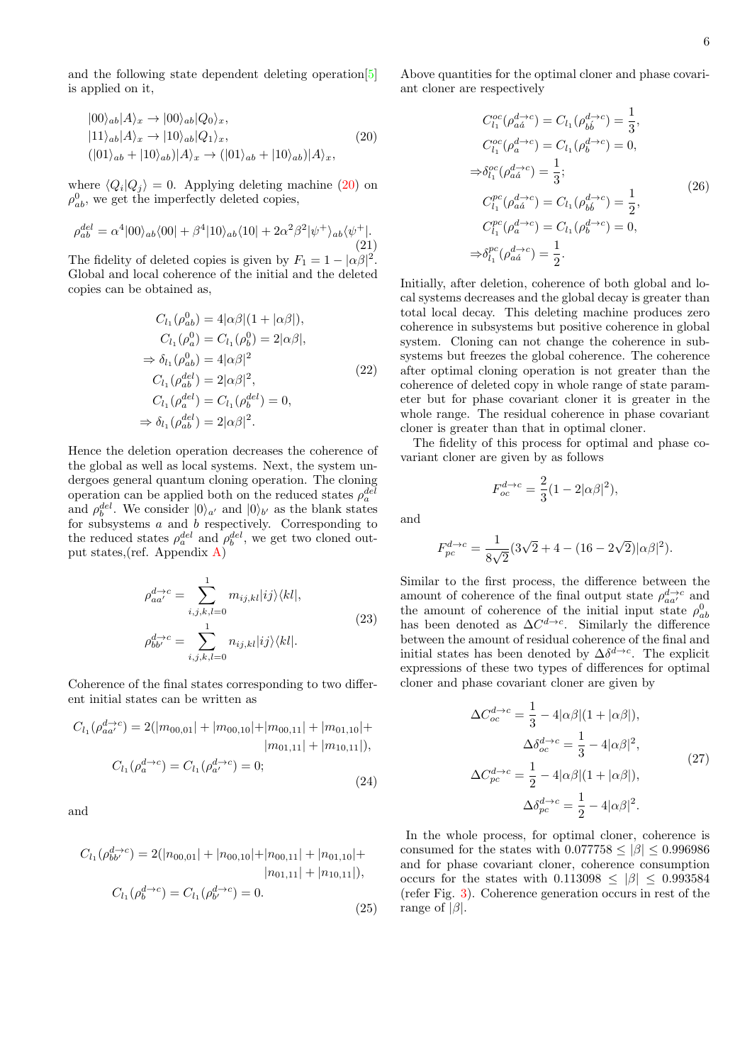and the following state dependent deleting operation[\[5\]](#page-6-4) is applied on it,

<span id="page-5-0"></span>
$$
\begin{aligned} |00\rangle_{ab}|A\rangle_x &\rightarrow |00\rangle_{ab}|Q_0\rangle_x, \\ |11\rangle_{ab}|A\rangle_x &\rightarrow |10\rangle_{ab}|Q_1\rangle_x, \\ (|01\rangle_{ab} + |10\rangle_{ab})|A\rangle_x &\rightarrow (|01\rangle_{ab} + |10\rangle_{ab})|A\rangle_x, \end{aligned} \tag{20}
$$

where  $\langle Q_i | Q_j \rangle = 0$ . Applying deleting machine [\(20\)](#page-5-0) on  $\rho_{ab}^0$ , we get the imperfectly deleted copies,

$$
\rho_{ab}^{del} = \alpha^4 |00\rangle_{ab} \langle 00| + \beta^4 |10\rangle_{ab} \langle 10| + 2\alpha^2 \beta^2 |\psi^+\rangle_{ab} \langle \psi^+|.
$$
\n(21)

The fidelity of deleted copies is given by  $F_1 = 1 - |\alpha\beta|^2$ . Global and local coherence of the initial and the deleted copies can be obtained as,

$$
C_{l_1}(\rho_{ab}^0) = 4|\alpha\beta|(1 + |\alpha\beta|),
$$
  
\n
$$
C_{l_1}(\rho_a^0) = C_{l_1}(\rho_b^0) = 2|\alpha\beta|,
$$
  
\n
$$
\Rightarrow \delta_{l_1}(\rho_{ab}^0) = 4|\alpha\beta|^2
$$
  
\n
$$
C_{l_1}(\rho_{ab}^{del}) = 2|\alpha\beta|^2,
$$
  
\n
$$
C_{l_1}(\rho_{ab}^{del}) = C_{l_1}(\rho_b^{del}) = 0,
$$
  
\n
$$
\Rightarrow \delta_{l_1}(\rho_{ab}^{del}) = 2|\alpha\beta|^2.
$$
\n(22)

Hence the deletion operation decreases the coherence of the global as well as local systems. Next, the system undergoes general quantum cloning operation. The cloning operation can be applied both on the reduced states  $\rho_a^{del}$ and  $\rho_b^{del}$ . We consider  $|0\rangle_{a'}$  and  $|0\rangle_{b'}$  as the blank states for subsystems  $a$  and  $b$  respectively. Corresponding to the reduced states  $\rho_a^{del}$  and  $\rho_b^{del}$ , we get two cloned output states,(ref. Appendix [A\)](#page-7-0)

$$
\rho_{aa'}^{d \to c} = \sum_{i,j,k,l=0}^{1} m_{ij,kl} |ij\rangle\langle kl|,
$$
  

$$
\rho_{bb'}^{d \to c} = \sum_{i,j,k,l=0}^{1} n_{ij,kl} |ij\rangle\langle kl|.
$$
 (23)

<span id="page-5-1"></span>Coherence of the final states corresponding to two different initial states can be written as

$$
C_{l_1}(\rho_{aa'}^{d\rightarrow c}) = 2(|m_{00,01}| + |m_{00,10}| + |m_{00,11}| + |m_{01,10}| + |m_{10,11}|),
$$
  
\n
$$
|m_{01,11}| + |m_{10,11}|),
$$

$$
C_{l_1}(\rho_a^{d \to c}) = C_{l_1}(\rho_{a'}^{d \to c}) = 0;
$$
\n(24)

and

$$
C_{l_1}(\rho_{bb'}^{d\to c}) = 2(|n_{00,01}| + |n_{00,10}| + |n_{00,11}| + |n_{01,10}| + |n_{01,11}|),
$$
  
\n
$$
C_{l_1}(\rho_b^{d\to c}) = C_{l_1}(\rho_{b'}^{d\to c}) = 0.
$$
\n(25)

Above quantities for the optimal cloner and phase covariant cloner are respectively

$$
C_{l_1}^{oc}(\rho_{a\dot{a}}^{d\to c}) = C_{l_1}(\rho_{b\dot{b}}^{d\to c}) = \frac{1}{3},
$$
  
\n
$$
C_{l_1}^{oc}(\rho_a^{d\to c}) = C_{l_1}(\rho_b^{d\to c}) = 0,
$$
  
\n
$$
\Rightarrow \delta_{l_1}^{oc}(\rho_{a\dot{a}}^{d\to c}) = \frac{1}{3};
$$
  
\n
$$
C_{l_1}^{pc}(\rho_{a\dot{a}}^{d\to c}) = C_{l_1}(\rho_{b\dot{b}}^{d\to c}) = \frac{1}{2},
$$
  
\n
$$
C_{l_1}^{pc}(\rho_a^{d\to c}) = C_{l_1}(\rho_b^{d\to c}) = 0,
$$
  
\n
$$
\Rightarrow \delta_{l_1}^{pc}(\rho_{a\dot{a}}^{d\to c}) = \frac{1}{2}.
$$
  
\n(26)

Initially, after deletion, coherence of both global and local systems decreases and the global decay is greater than total local decay. This deleting machine produces zero coherence in subsystems but positive coherence in global system. Cloning can not change the coherence in subsystems but freezes the global coherence. The coherence after optimal cloning operation is not greater than the coherence of deleted copy in whole range of state parameter but for phase covariant cloner it is greater in the whole range. The residual coherence in phase covariant cloner is greater than that in optimal cloner.

The fidelity of this process for optimal and phase covariant cloner are given by as follows

$$
F_{oc}^{d \to c} = \frac{2}{3} (1 - 2|\alpha \beta|^2),
$$

and

$$
F_{pc}^{d \to c} = \frac{1}{8\sqrt{2}} (3\sqrt{2} + 4 - (16 - 2\sqrt{2})|\alpha\beta|^2).
$$

Similar to the first process, the difference between the amount of coherence of the final output state  $\rho_{aa'}^{d\rightarrow c}$  and the amount of coherence of the initial input state  $\rho_{ab}^0$  has been denoted as  $\Delta C^{d\rightarrow c}$ . Similarly the difference between the amount of residual coherence of the final and initial states has been denoted by  $\Delta \delta^{d\rightarrow c}$ . The explicit expressions of these two types of differences for optimal cloner and phase covariant cloner are given by

$$
\Delta C_{oc}^{d\to c} = \frac{1}{3} - 4|\alpha\beta|(1 + |\alpha\beta|),
$$

$$
\Delta \delta_{oc}^{d\to c} = \frac{1}{3} - 4|\alpha\beta|^2,
$$

$$
\Delta C_{pc}^{d\to c} = \frac{1}{2} - 4|\alpha\beta|(1 + |\alpha\beta|),
$$

$$
\Delta \delta_{pc}^{d\to c} = \frac{1}{2} - 4|\alpha\beta|^2.
$$
(27)

In the whole process, for optimal cloner, coherence is consumed for the states with  $0.077758 \le |\beta| \le 0.996986$ and for phase covariant cloner, coherence consumption occurs for the states with  $0.113098 < |\beta| < 0.993584$ (refer Fig. [3\)](#page-6-19). Coherence generation occurs in rest of the range of  $|\beta|$ .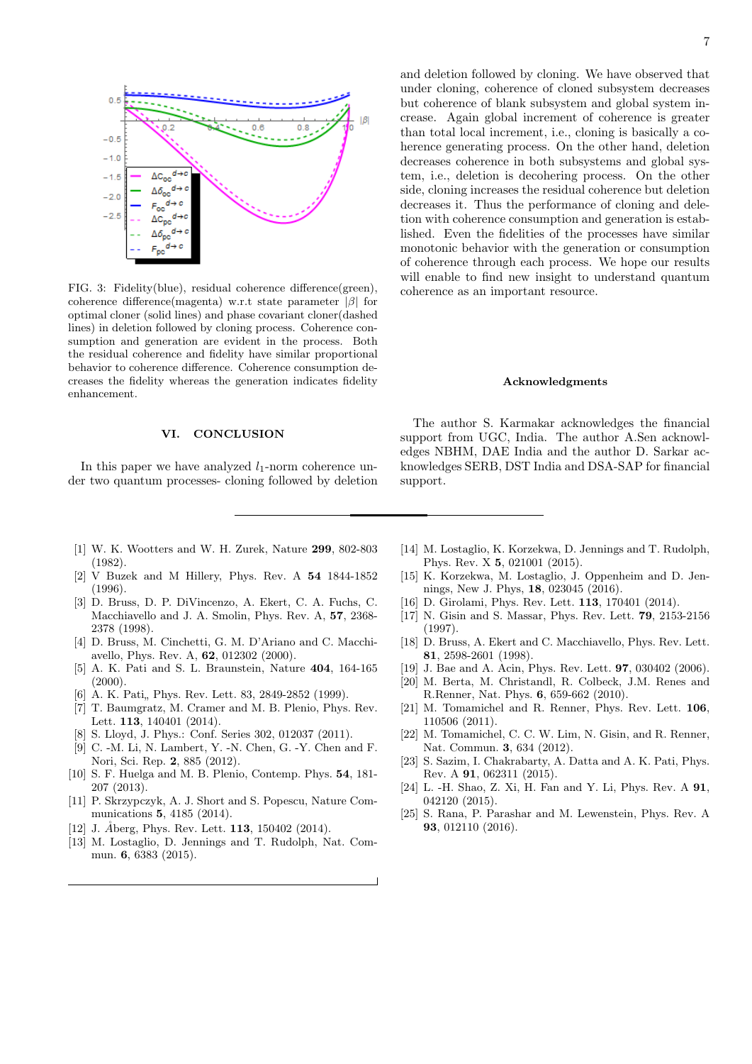

<span id="page-6-19"></span>FIG. 3: Fidelity(blue), residual coherence difference(green), coherence difference(magenta) w.r.t state parameter |β| for optimal cloner (solid lines) and phase covariant cloner(dashed lines) in deletion followed by cloning process. Coherence consumption and generation are evident in the process. Both the residual coherence and fidelity have similar proportional behavior to coherence difference. Coherence consumption decreases the fidelity whereas the generation indicates fidelity enhancement.

# VI. CONCLUSION

In this paper we have analyzed  $l_1$ -norm coherence under two quantum processes- cloning followed by deletion and deletion followed by cloning. We have observed that under cloning, coherence of cloned subsystem decreases but coherence of blank subsystem and global system increase. Again global increment of coherence is greater than total local increment, i.e., cloning is basically a coherence generating process. On the other hand, deletion decreases coherence in both subsystems and global system, i.e., deletion is decohering process. On the other side, cloning increases the residual coherence but deletion decreases it. Thus the performance of cloning and deletion with coherence consumption and generation is established. Even the fidelities of the processes have similar monotonic behavior with the generation or consumption of coherence through each process. We hope our results will enable to find new insight to understand quantum coherence as an important resource.

### Acknowledgments

The author S. Karmakar acknowledges the financial support from UGC, India. The author A.Sen acknowledges NBHM, DAE India and the author D. Sarkar acknowledges SERB, DST India and DSA-SAP for financial support.

- <span id="page-6-0"></span>[1] W. K. Wootters and W. H. Zurek, Nature 299, 802-803 (1982).
- <span id="page-6-1"></span>[2] V Buzek and M Hillery, Phys. Rev. A 54 1844-1852 (1996).
- <span id="page-6-2"></span>[3] D. Bruss, D. P. DiVincenzo, A. Ekert, C. A. Fuchs, C. Macchiavello and J. A. Smolin, Phys. Rev. A, 57, 2368- 2378 (1998).
- <span id="page-6-3"></span>[4] D. Bruss, M. Cinchetti, G. M. D'Ariano and C. Macchiavello, Phys. Rev. A, 62, 012302 (2000).
- <span id="page-6-4"></span>[5] A. K. Pati and S. L. Braunstein, Nature 404, 164-165 (2000).
- <span id="page-6-5"></span> $[6]$  A. K. Pati, Phys. Rev. Lett. 83, 2849-2852 (1999).
- <span id="page-6-6"></span>[7] T. Baumgratz, M. Cramer and M. B. Plenio, Phys. Rev. Lett. 113, 140401 (2014).
- <span id="page-6-7"></span>[8] S. Lloyd, J. Phys.: Conf. Series 302, 012037 (2011).
- [9] C. -M. Li, N. Lambert, Y. -N. Chen, G. -Y. Chen and F. Nori, Sci. Rep. 2, 885 (2012).
- <span id="page-6-8"></span>[10] S. F. Huelga and M. B. Plenio, Contemp. Phys. **54**, 181-207 (2013).
- <span id="page-6-9"></span>[11] P. Skrzypczyk, A. J. Short and S. Popescu, Nature Communications 5, 4185 (2014).
- [12] J. Aberg, Phys. Rev. Lett.  $113$ ,  $150402$  (2014).
- [13] M. Lostaglio, D. Jennings and T. Rudolph, Nat. Commun. 6, 6383 (2015).
- [14] M. Lostaglio, K. Korzekwa, D. Jennings and T. Rudolph, Phys. Rev. X 5, 021001 (2015).
- <span id="page-6-10"></span>[15] K. Korzekwa, M. Lostaglio, J. Oppenheim and D. Jennings, New J. Phys, 18, 023045 (2016).
- <span id="page-6-11"></span>[16] D. Girolami, Phys. Rev. Lett. **113**, 170401 (2014).
- <span id="page-6-12"></span>[17] N. Gisin and S. Massar, Phys. Rev. Lett. 79, 2153-2156 (1997).
- [18] D. Bruss, A. Ekert and C. Macchiavello, Phys. Rev. Lett. 81, 2598-2601 (1998).
- <span id="page-6-13"></span>[19] J. Bae and A. Acin, Phys. Rev. Lett. **97**, 030402 (2006).
- <span id="page-6-14"></span>[20] M. Berta, M. Christandl, R. Colbeck, J.M. Renes and R.Renner, Nat. Phys. 6, 659-662 (2010).
- [21] M. Tomamichel and R. Renner, Phys. Rev. Lett. 106, 110506 (2011).
- <span id="page-6-15"></span>[22] M. Tomamichel, C. C. W. Lim, N. Gisin, and R. Renner, Nat. Commun. 3, 634 (2012).
- <span id="page-6-16"></span>[23] S. Sazim, I. Chakrabarty, A. Datta and A. K. Pati, Phys. Rev. A 91, 062311 (2015).
- <span id="page-6-17"></span>[24] L. -H. Shao, Z. Xi, H. Fan and Y. Li, Phys. Rev. A 91, 042120 (2015).
- <span id="page-6-18"></span>[25] S. Rana, P. Parashar and M. Lewenstein, Phys. Rev. A 93, 012110 (2016).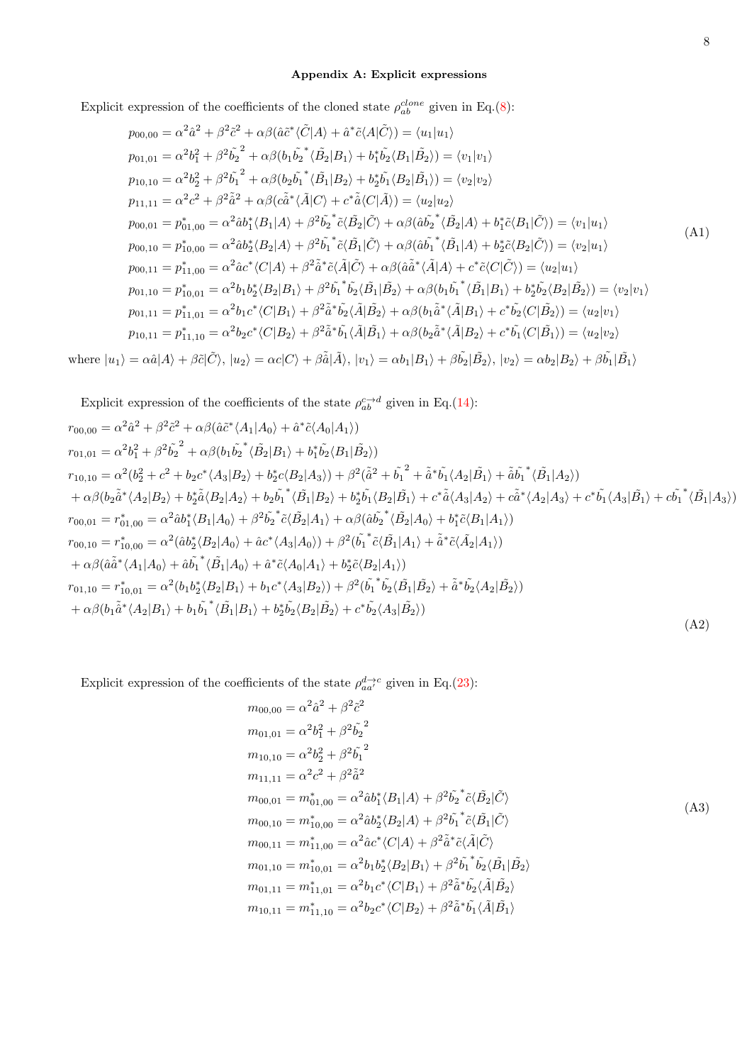# <span id="page-7-0"></span>Appendix A: Explicit expressions

Explicit expression of the coefficients of the cloned state  $\rho_{ab}^{clone}$  given in Eq.[\(8\)](#page-3-2):

$$
p_{00,00} = \alpha^2 \hat{a}^2 + \beta^2 \tilde{c}^2 + \alpha \beta (\hat{a} \tilde{c}^* \langle \tilde{C} | A \rangle + \hat{a}^* \tilde{c} \langle A | \tilde{C} \rangle) = \langle u_1 | u_1 \rangle
$$
  
\n
$$
p_{01,01} = \alpha^2 b_1^2 + \beta^2 \tilde{b}_2^2 + \alpha \beta (b_1 \tilde{b}_2^* \langle \tilde{B}_2 | B_1 \rangle + b_1^* \tilde{b}_2 \langle B_1 | \tilde{B}_2 \rangle) = \langle v_1 | v_1 \rangle
$$
  
\n
$$
p_{10,10} = \alpha^2 b_2^2 + \beta^2 \tilde{b}_1^2 + \alpha \beta (b_2 \tilde{b}_1^* \langle \tilde{B}_1 | B_2 \rangle + b_2^* \tilde{b}_1 \langle B_2 | \tilde{B}_1 \rangle) = \langle v_2 | v_2 \rangle
$$
  
\n
$$
p_{11,11} = \alpha^2 c^2 + \beta^2 \tilde{a}^2 + \alpha \beta (c \tilde{a}^* \langle \tilde{A} | C \rangle + c^* \tilde{a} \langle C | \tilde{A} \rangle) = \langle u_2 | u_2 \rangle
$$
  
\n
$$
p_{00,01} = p_{01,00}^* = \alpha^2 \tilde{a} b_1^* \langle B_1 | A \rangle + \beta^2 \tilde{b}_2^* \tilde{c} \langle \tilde{B}_2 | \tilde{C} \rangle + \alpha \beta (\tilde{a} \tilde{b}_2^* \langle \tilde{B}_2 | A \rangle + b_1^* \tilde{c} \langle B_1 | \tilde{C} \rangle) = \langle v_1 | u_1 \rangle
$$
  
\n
$$
p_{00,10} = p_{10,00}^* = \alpha^2 \tilde{a} b_2^* \langle B_2 | A \rangle + \beta^2 \tilde{b}_1^* \tilde{c} \langle \tilde{B}_1 | \tilde{C} \rangle + \alpha \beta (\tilde{a} \tilde{b}_1^* \langle \tilde{B}_1 | A \rangle + b_2^* \tilde{c} \langle B_2 | \tilde{C} \
$$

where  $|u_1\rangle = \alpha \hat{a}|A\rangle + \beta \tilde{c}|\tilde{C}\rangle$ ,  $|u_2\rangle = \alpha c|C\rangle + \beta \tilde{\hat{a}}|\tilde{A}\rangle$ ,  $|v_1\rangle = \alpha b_1|B_1\rangle + \beta \tilde{b_2}|\tilde{B_2}\rangle$ ,  $|v_2\rangle = \alpha b_2|B_2\rangle + \beta \tilde{b_1}|\tilde{B_1}\rangle$ 

Explicit expression of the coefficients of the state  $\rho_{ab}^{c \to d}$  given in Eq.[\(14\)](#page-3-3):

$$
r_{00,00} = \alpha^{2}\hat{a}^{2} + \beta^{2}\tilde{c}^{2} + \alpha\beta(\hat{a}\tilde{c}^{*}\langle A_{1}|A_{0}\rangle + \hat{a}^{*}\tilde{c}\langle A_{0}|A_{1}\rangle)
$$
  
\n
$$
r_{01,01} = \alpha^{2}b_{1}^{2} + \beta^{2}\tilde{b}_{2}^{2} + \alpha\beta(b_{1}\tilde{b}_{2}^{*}\langle\tilde{B}_{2}|B_{1}\rangle + b_{1}^{*}\tilde{b}_{2}\langle B_{1}|\tilde{B}_{2}\rangle)
$$
  
\n
$$
r_{10,10} = \alpha^{2}(b_{2}^{2} + c^{2} + b_{2}c^{*}\langle A_{3}|B_{2}\rangle + b_{2}^{*}c\langle B_{2}|A_{3}\rangle) + \beta^{2}(\tilde{a}^{2} + \tilde{b}_{1}^{*} + \tilde{a}^{*}\tilde{b}_{1}\langle A_{2}|\tilde{B}_{1}\rangle + \tilde{a}\tilde{b}_{1}^{*}\langle\tilde{B}_{1}|A_{2}\rangle)
$$
  
\n
$$
+ \alpha\beta(b_{2}\tilde{a}^{*}\langle A_{2}|B_{2}\rangle + b_{2}^{*}\tilde{a}\langle B_{2}|A_{2}\rangle + b_{2}^{*}\tilde{b}_{1}\langle\tilde{B}_{1}|B_{2}\rangle + b_{2}^{*}\tilde{b}_{1}\langle B_{2}|\tilde{B}_{1}\rangle + c^{*}\tilde{a}\langle A_{3}|A_{2}\rangle + c\tilde{a}^{*}\langle A_{2}|A_{3}\rangle + c^{*}\tilde{b}_{1}\langle A_{3}|\tilde{B}_{1}\rangle + c\tilde{b}_{1}^{*}\langle\tilde{B}_{1}|A_{3}\rangle)
$$
  
\n
$$
r_{00,01} = r_{0,00}^{*} = \alpha^{2}(\hat{a}b_{1}^{*}\langle B_{1}|A_{0}\rangle + \beta^{2}\tilde{b}_{2}^{*}\tilde{c}\langle\tilde{B}_{2}|A_{1}\rangle + \alpha\beta(\hat{a}\tilde{b}_{2}^{*}\langle\tilde{B}_{2}|A_{0}\rangle + b_{1}^{*}\tilde{c}\langle B_{1}|A_{1}\rangle)
$$
  
\n
$$
r_{00,10} = r_{10,00}
$$

<span id="page-7-1"></span>Explicit expression of the coefficients of the state 
$$
\rho_{aa'}^{d \to c}
$$
 given in Eq.(23):

$$
m_{00,00} = \alpha^2 \hat{a}^2 + \beta^2 \tilde{c}^2
$$
  
\n
$$
m_{01,01} = \alpha^2 b_1^2 + \beta^2 \tilde{b}_2^2
$$
  
\n
$$
m_{10,10} = \alpha^2 b_2^2 + \beta^2 \tilde{b}_1^2
$$
  
\n
$$
m_{11,11} = \alpha^2 c^2 + \beta^2 \tilde{a}^2
$$
  
\n
$$
m_{00,01} = m_{01,00}^* = \alpha^2 \hat{a} b_1^* \langle B_1 | A \rangle + \beta^2 \tilde{b}_2^* \tilde{c} \langle \tilde{B}_2 | \tilde{C} \rangle
$$
  
\n
$$
m_{00,10} = m_{10,00}^* = \alpha^2 \hat{a} b_2^* \langle B_2 | A \rangle + \beta^2 \tilde{b}_1^* \tilde{c} \langle \tilde{B}_1 | \tilde{C} \rangle
$$
  
\n
$$
m_{00,11} = m_{11,00}^* = \alpha^2 \hat{a} c^* \langle C | A \rangle + \beta^2 \tilde{a}^* \tilde{c} \langle \tilde{A} | \tilde{C} \rangle
$$
  
\n
$$
m_{01,10} = m_{10,01}^* = \alpha^2 b_1 b_2^* \langle B_2 | B_1 \rangle + \beta^2 \tilde{b}_1^* \tilde{b}_2 \langle \tilde{B}_1 | \tilde{B}_2 \rangle
$$
  
\n
$$
m_{01,11} = m_{11,01}^* = \alpha^2 b_1 c^* \langle C | B_1 \rangle + \beta^2 \tilde{a}^* \tilde{b}_2 \langle \tilde{A} | \tilde{B}_2 \rangle
$$
  
\n
$$
m_{10,11} = m_{11,10}^* = \alpha^2 b_2 c^* \langle C | B_2 \rangle + \beta^2 \tilde{a}^* \tilde{b}_1 \langle \tilde{A} | \tilde{B}_1 \rangle
$$